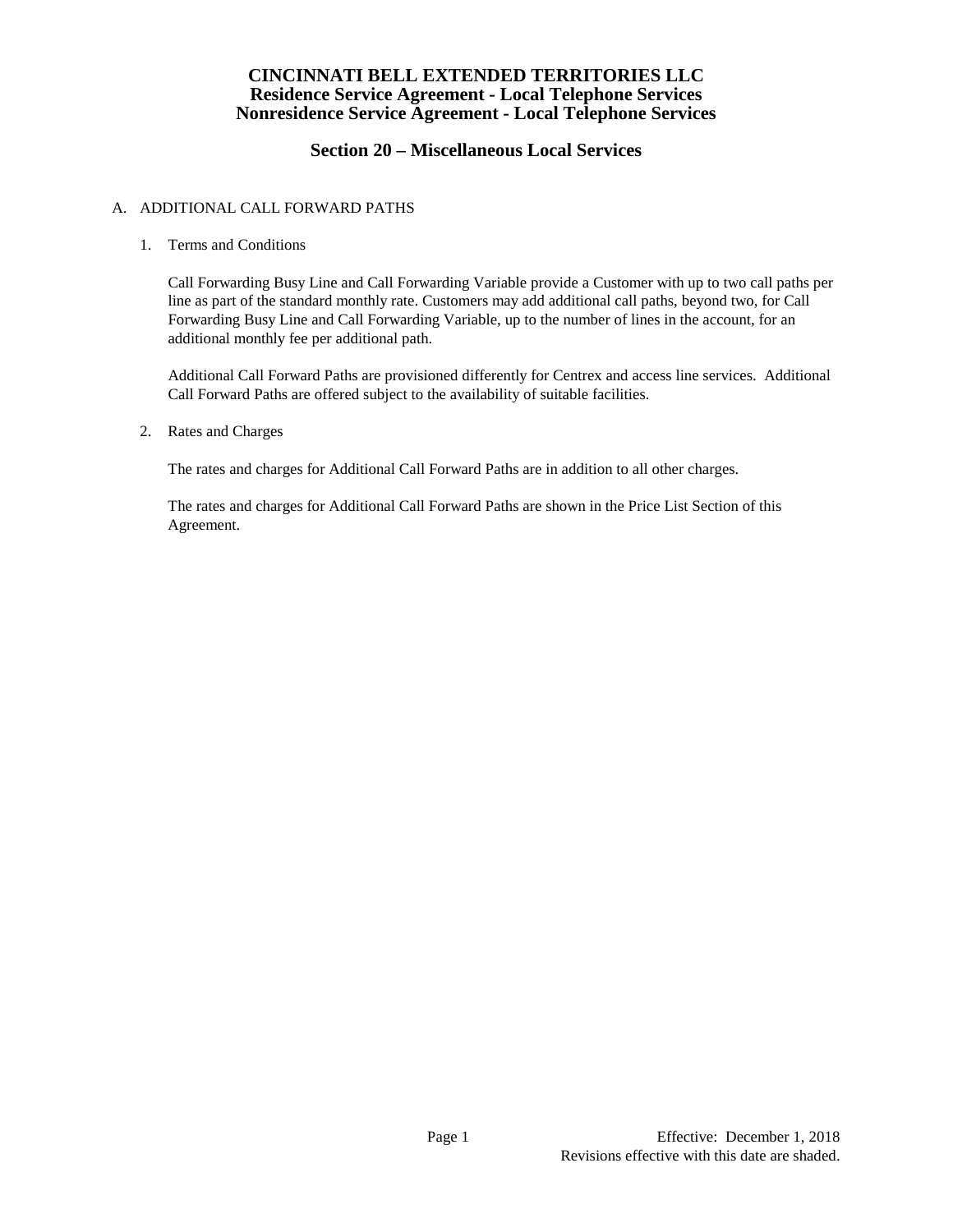## **Section 20 – Miscellaneous Local Services**

### A. ADDITIONAL CALL FORWARD PATHS

1. Terms and Conditions

Call Forwarding Busy Line and Call Forwarding Variable provide a Customer with up to two call paths per line as part of the standard monthly rate. Customers may add additional call paths, beyond two, for Call Forwarding Busy Line and Call Forwarding Variable, up to the number of lines in the account, for an additional monthly fee per additional path.

Additional Call Forward Paths are provisioned differently for Centrex and access line services. Additional Call Forward Paths are offered subject to the availability of suitable facilities.

#### 2. Rates and Charges

The rates and charges for Additional Call Forward Paths are in addition to all other charges.

The rates and charges for Additional Call Forward Paths are shown in the Price List Section of this Agreement.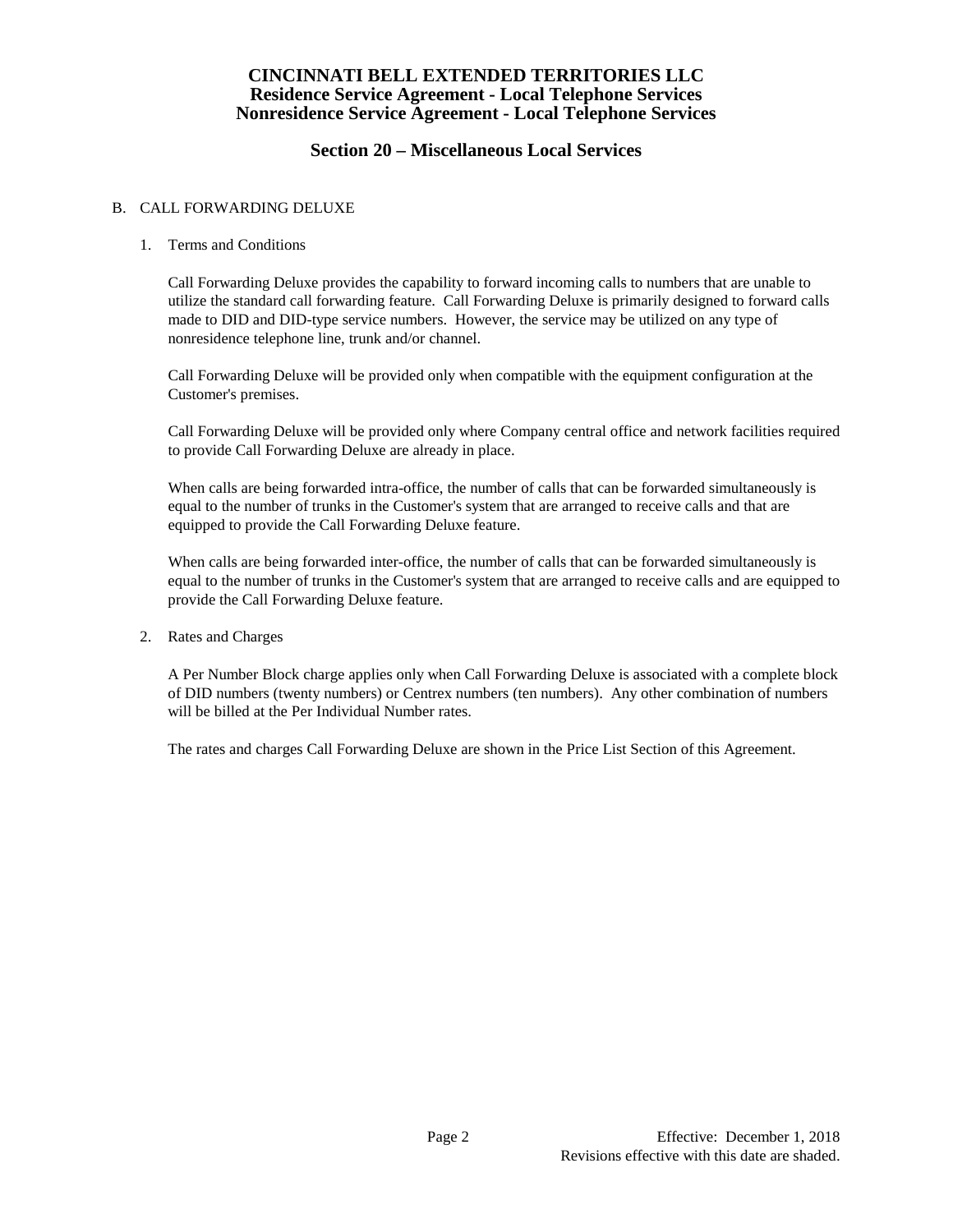## **Section 20 – Miscellaneous Local Services**

### B. CALL FORWARDING DELUXE

### 1. Terms and Conditions

Call Forwarding Deluxe provides the capability to forward incoming calls to numbers that are unable to utilize the standard call forwarding feature. Call Forwarding Deluxe is primarily designed to forward calls made to DID and DID-type service numbers. However, the service may be utilized on any type of nonresidence telephone line, trunk and/or channel.

Call Forwarding Deluxe will be provided only when compatible with the equipment configuration at the Customer's premises.

Call Forwarding Deluxe will be provided only where Company central office and network facilities required to provide Call Forwarding Deluxe are already in place.

When calls are being forwarded intra-office, the number of calls that can be forwarded simultaneously is equal to the number of trunks in the Customer's system that are arranged to receive calls and that are equipped to provide the Call Forwarding Deluxe feature.

When calls are being forwarded inter-office, the number of calls that can be forwarded simultaneously is equal to the number of trunks in the Customer's system that are arranged to receive calls and are equipped to provide the Call Forwarding Deluxe feature.

2. Rates and Charges

A Per Number Block charge applies only when Call Forwarding Deluxe is associated with a complete block of DID numbers (twenty numbers) or Centrex numbers (ten numbers). Any other combination of numbers will be billed at the Per Individual Number rates.

The rates and charges Call Forwarding Deluxe are shown in the Price List Section of this Agreement.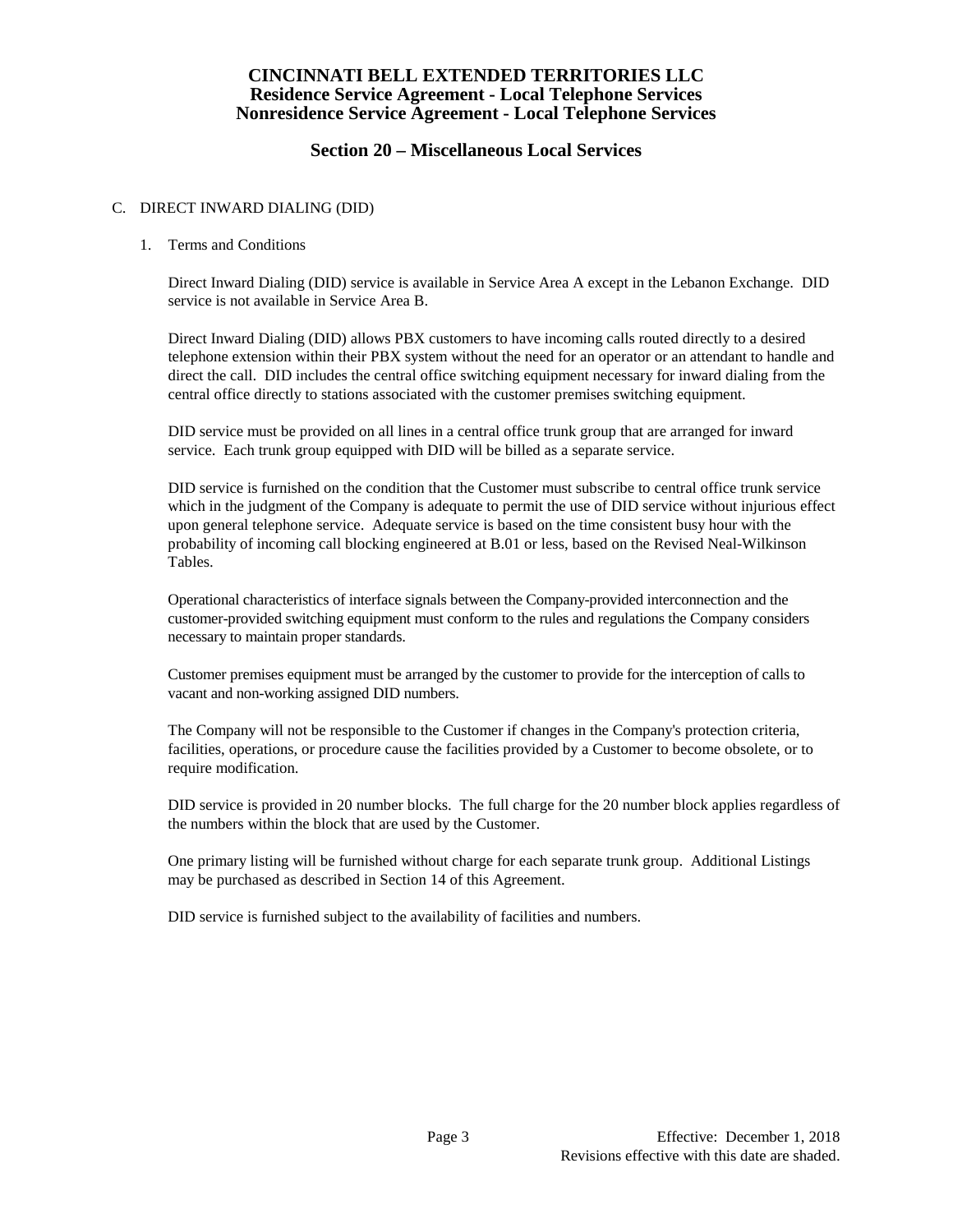## **Section 20 – Miscellaneous Local Services**

#### C. DIRECT INWARD DIALING (DID)

### 1. Terms and Conditions

Direct Inward Dialing (DID) service is available in Service Area A except in the Lebanon Exchange. DID service is not available in Service Area B.

Direct Inward Dialing (DID) allows PBX customers to have incoming calls routed directly to a desired telephone extension within their PBX system without the need for an operator or an attendant to handle and direct the call. DID includes the central office switching equipment necessary for inward dialing from the central office directly to stations associated with the customer premises switching equipment.

DID service must be provided on all lines in a central office trunk group that are arranged for inward service. Each trunk group equipped with DID will be billed as a separate service.

DID service is furnished on the condition that the Customer must subscribe to central office trunk service which in the judgment of the Company is adequate to permit the use of DID service without injurious effect upon general telephone service. Adequate service is based on the time consistent busy hour with the probability of incoming call blocking engineered at B.01 or less, based on the Revised Neal-Wilkinson Tables.

Operational characteristics of interface signals between the Company-provided interconnection and the customer-provided switching equipment must conform to the rules and regulations the Company considers necessary to maintain proper standards.

Customer premises equipment must be arranged by the customer to provide for the interception of calls to vacant and non-working assigned DID numbers.

The Company will not be responsible to the Customer if changes in the Company's protection criteria, facilities, operations, or procedure cause the facilities provided by a Customer to become obsolete, or to require modification.

DID service is provided in 20 number blocks. The full charge for the 20 number block applies regardless of the numbers within the block that are used by the Customer.

One primary listing will be furnished without charge for each separate trunk group. Additional Listings may be purchased as described in Section 14 of this Agreement.

DID service is furnished subject to the availability of facilities and numbers.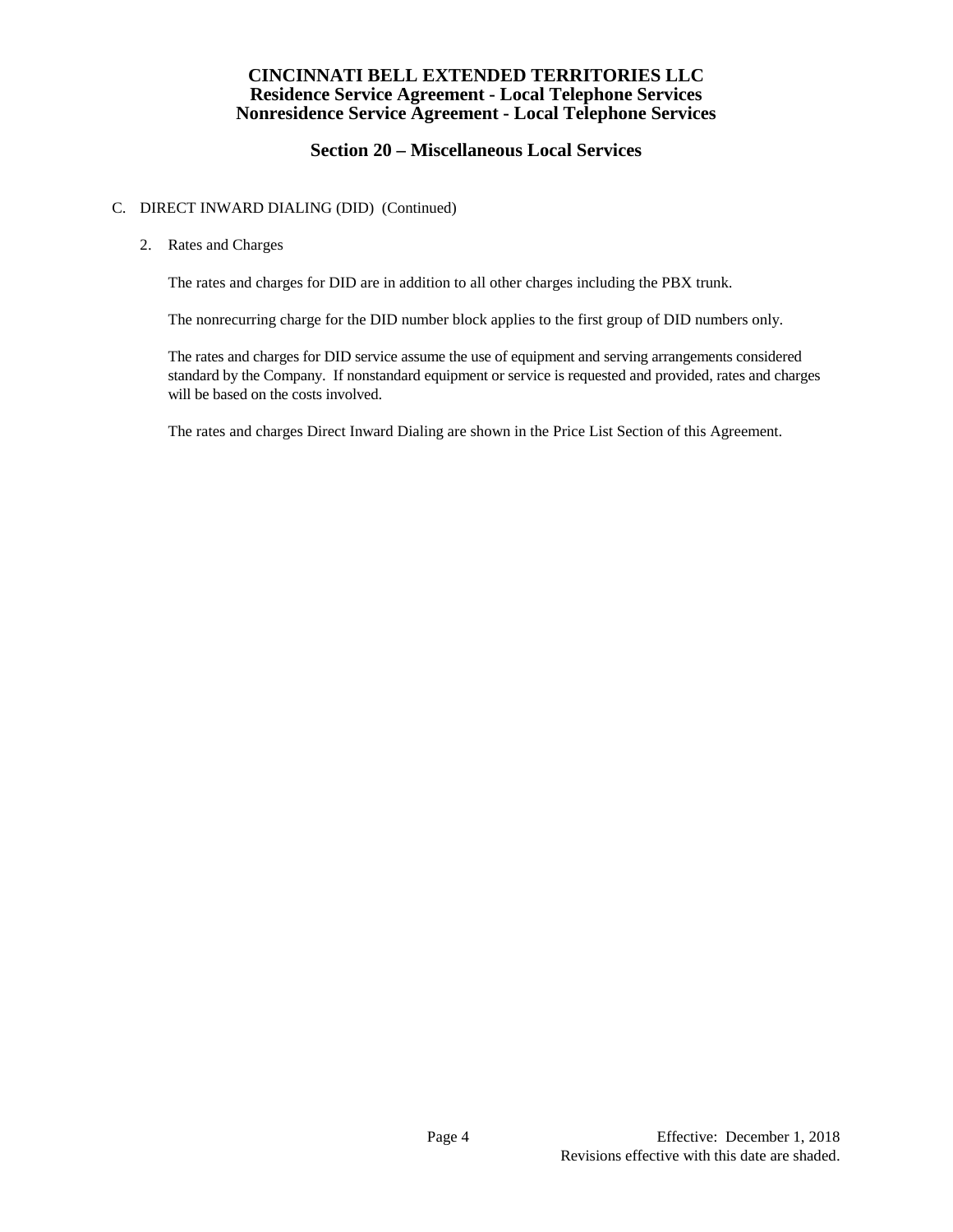## **Section 20 – Miscellaneous Local Services**

### C. DIRECT INWARD DIALING (DID) (Continued)

#### 2. Rates and Charges

The rates and charges for DID are in addition to all other charges including the PBX trunk.

The nonrecurring charge for the DID number block applies to the first group of DID numbers only.

The rates and charges for DID service assume the use of equipment and serving arrangements considered standard by the Company. If nonstandard equipment or service is requested and provided, rates and charges will be based on the costs involved.

The rates and charges Direct Inward Dialing are shown in the Price List Section of this Agreement.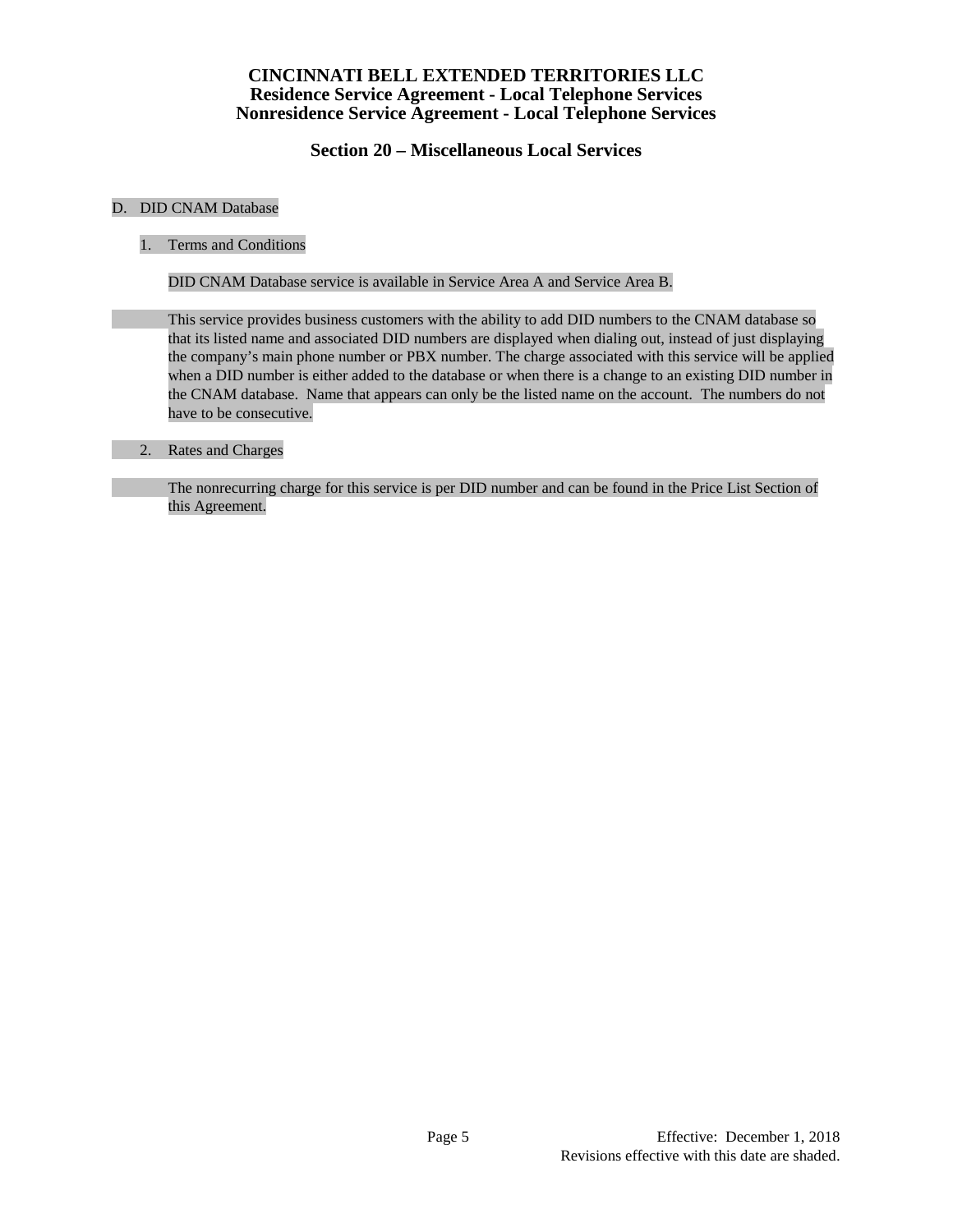**Section 20 – Miscellaneous Local Services**

#### D. DID CNAM Database

1. Terms and Conditions

DID CNAM Database service is available in Service Area A and Service Area B.

This service provides business customers with the ability to add DID numbers to the CNAM database so that its listed name and associated DID numbers are displayed when dialing out, instead of just displaying the company's main phone number or PBX number. The charge associated with this service will be applied when a DID number is either added to the database or when there is a change to an existing DID number in the CNAM database. Name that appears can only be the listed name on the account. The numbers do not have to be consecutive.

#### 2. Rates and Charges

The nonrecurring charge for this service is per DID number and can be found in the Price List Section of this Agreement.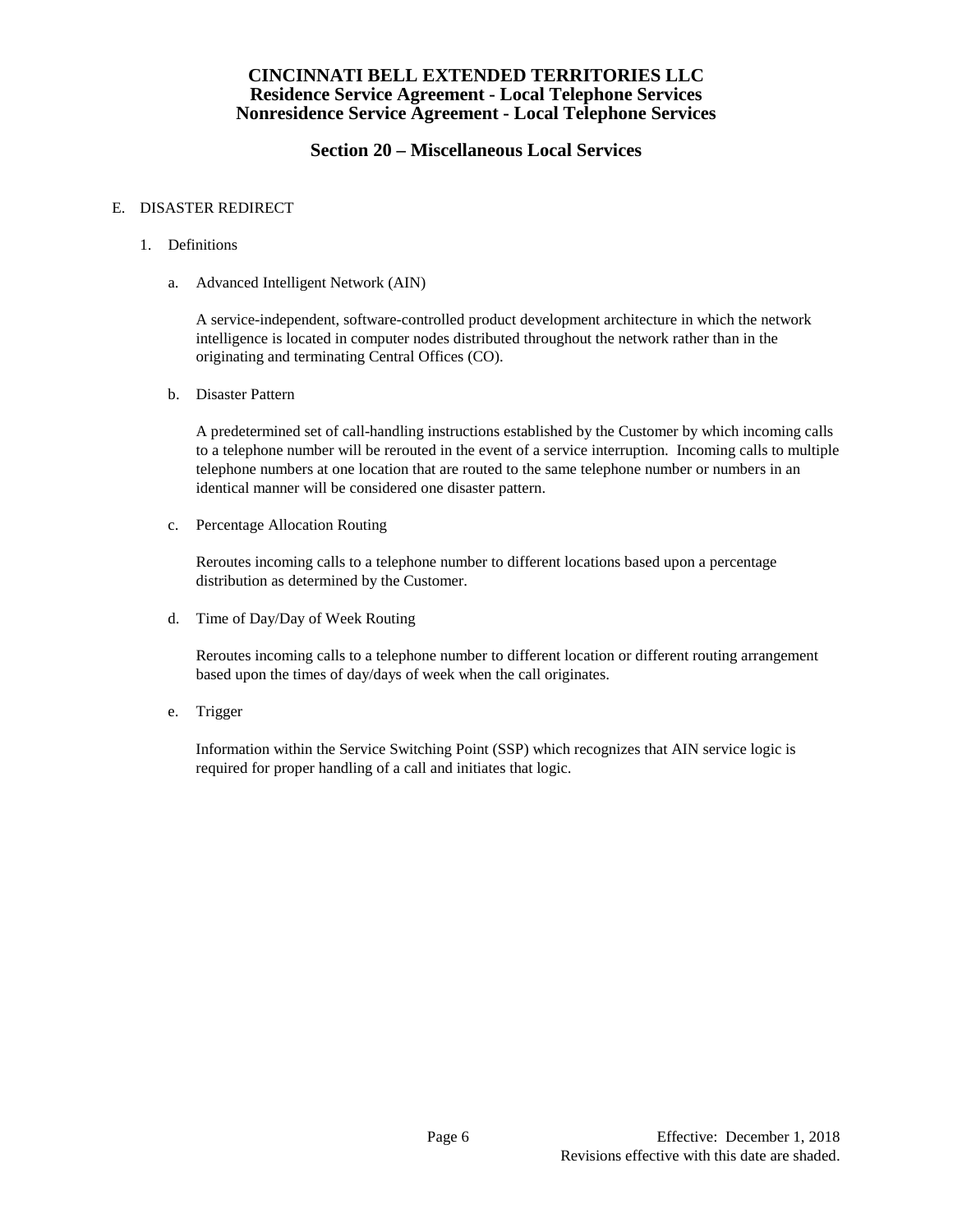## **Section 20 – Miscellaneous Local Services**

#### E. DISASTER REDIRECT

- 1. Definitions
	- a. Advanced Intelligent Network (AIN)

A service-independent, software-controlled product development architecture in which the network intelligence is located in computer nodes distributed throughout the network rather than in the originating and terminating Central Offices (CO).

b. Disaster Pattern

A predetermined set of call-handling instructions established by the Customer by which incoming calls to a telephone number will be rerouted in the event of a service interruption. Incoming calls to multiple telephone numbers at one location that are routed to the same telephone number or numbers in an identical manner will be considered one disaster pattern.

c. Percentage Allocation Routing

Reroutes incoming calls to a telephone number to different locations based upon a percentage distribution as determined by the Customer.

d. Time of Day/Day of Week Routing

Reroutes incoming calls to a telephone number to different location or different routing arrangement based upon the times of day/days of week when the call originates.

e. Trigger

Information within the Service Switching Point (SSP) which recognizes that AIN service logic is required for proper handling of a call and initiates that logic.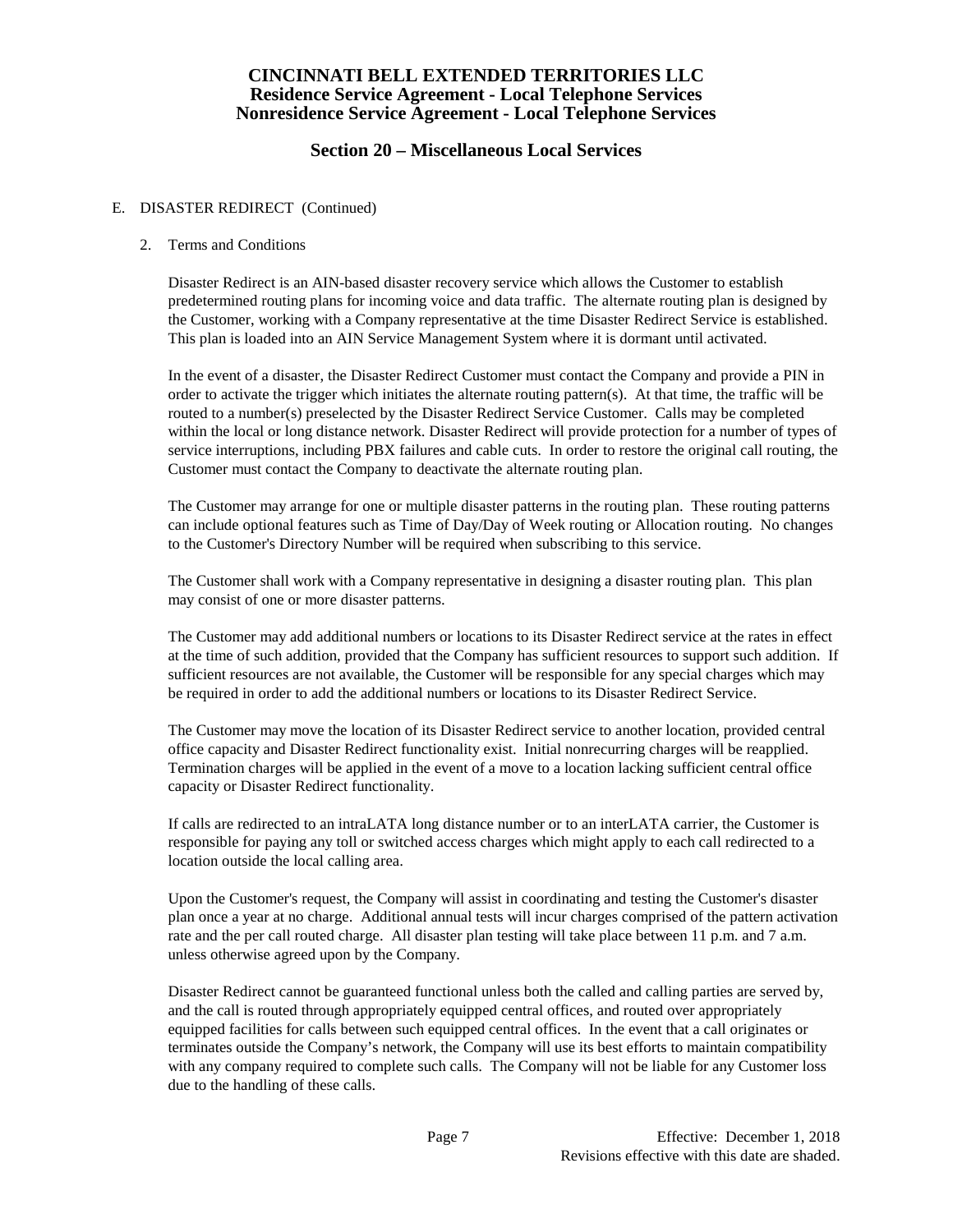## **Section 20 – Miscellaneous Local Services**

#### E. DISASTER REDIRECT (Continued)

#### 2. Terms and Conditions

Disaster Redirect is an AIN-based disaster recovery service which allows the Customer to establish predetermined routing plans for incoming voice and data traffic. The alternate routing plan is designed by the Customer, working with a Company representative at the time Disaster Redirect Service is established. This plan is loaded into an AIN Service Management System where it is dormant until activated.

In the event of a disaster, the Disaster Redirect Customer must contact the Company and provide a PIN in order to activate the trigger which initiates the alternate routing pattern(s). At that time, the traffic will be routed to a number(s) preselected by the Disaster Redirect Service Customer. Calls may be completed within the local or long distance network. Disaster Redirect will provide protection for a number of types of service interruptions, including PBX failures and cable cuts. In order to restore the original call routing, the Customer must contact the Company to deactivate the alternate routing plan.

The Customer may arrange for one or multiple disaster patterns in the routing plan. These routing patterns can include optional features such as Time of Day/Day of Week routing or Allocation routing. No changes to the Customer's Directory Number will be required when subscribing to this service.

The Customer shall work with a Company representative in designing a disaster routing plan. This plan may consist of one or more disaster patterns.

The Customer may add additional numbers or locations to its Disaster Redirect service at the rates in effect at the time of such addition, provided that the Company has sufficient resources to support such addition. If sufficient resources are not available, the Customer will be responsible for any special charges which may be required in order to add the additional numbers or locations to its Disaster Redirect Service.

The Customer may move the location of its Disaster Redirect service to another location, provided central office capacity and Disaster Redirect functionality exist. Initial nonrecurring charges will be reapplied. Termination charges will be applied in the event of a move to a location lacking sufficient central office capacity or Disaster Redirect functionality.

If calls are redirected to an intraLATA long distance number or to an interLATA carrier, the Customer is responsible for paying any toll or switched access charges which might apply to each call redirected to a location outside the local calling area.

Upon the Customer's request, the Company will assist in coordinating and testing the Customer's disaster plan once a year at no charge. Additional annual tests will incur charges comprised of the pattern activation rate and the per call routed charge. All disaster plan testing will take place between 11 p.m. and 7 a.m. unless otherwise agreed upon by the Company.

Disaster Redirect cannot be guaranteed functional unless both the called and calling parties are served by, and the call is routed through appropriately equipped central offices, and routed over appropriately equipped facilities for calls between such equipped central offices. In the event that a call originates or terminates outside the Company's network, the Company will use its best efforts to maintain compatibility with any company required to complete such calls. The Company will not be liable for any Customer loss due to the handling of these calls.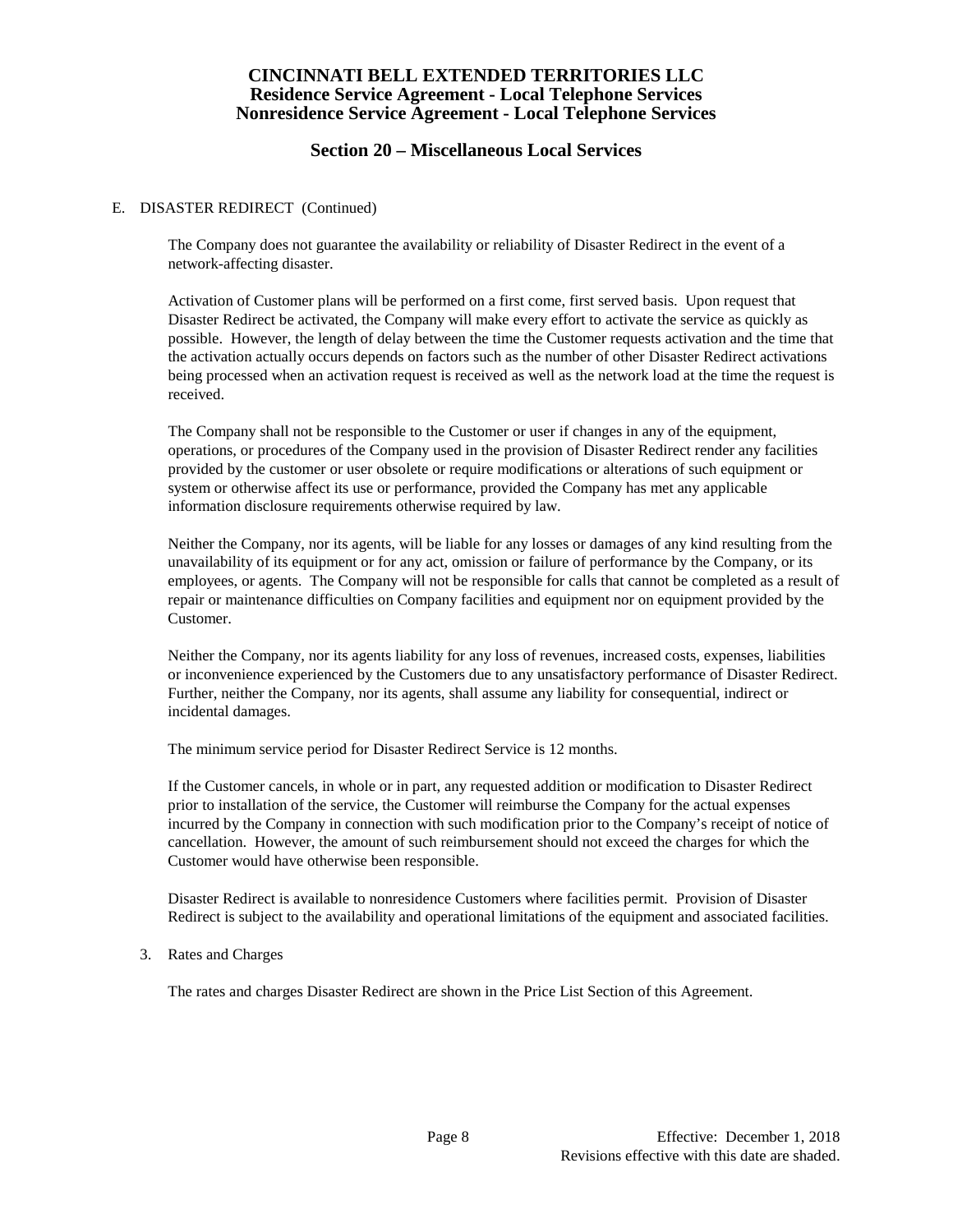## **Section 20 – Miscellaneous Local Services**

#### E. DISASTER REDIRECT (Continued)

The Company does not guarantee the availability or reliability of Disaster Redirect in the event of a network-affecting disaster.

Activation of Customer plans will be performed on a first come, first served basis. Upon request that Disaster Redirect be activated, the Company will make every effort to activate the service as quickly as possible. However, the length of delay between the time the Customer requests activation and the time that the activation actually occurs depends on factors such as the number of other Disaster Redirect activations being processed when an activation request is received as well as the network load at the time the request is received.

The Company shall not be responsible to the Customer or user if changes in any of the equipment, operations, or procedures of the Company used in the provision of Disaster Redirect render any facilities provided by the customer or user obsolete or require modifications or alterations of such equipment or system or otherwise affect its use or performance, provided the Company has met any applicable information disclosure requirements otherwise required by law.

Neither the Company, nor its agents, will be liable for any losses or damages of any kind resulting from the unavailability of its equipment or for any act, omission or failure of performance by the Company, or its employees, or agents. The Company will not be responsible for calls that cannot be completed as a result of repair or maintenance difficulties on Company facilities and equipment nor on equipment provided by the Customer.

Neither the Company, nor its agents liability for any loss of revenues, increased costs, expenses, liabilities or inconvenience experienced by the Customers due to any unsatisfactory performance of Disaster Redirect. Further, neither the Company, nor its agents, shall assume any liability for consequential, indirect or incidental damages.

The minimum service period for Disaster Redirect Service is 12 months.

If the Customer cancels, in whole or in part, any requested addition or modification to Disaster Redirect prior to installation of the service, the Customer will reimburse the Company for the actual expenses incurred by the Company in connection with such modification prior to the Company's receipt of notice of cancellation. However, the amount of such reimbursement should not exceed the charges for which the Customer would have otherwise been responsible.

Disaster Redirect is available to nonresidence Customers where facilities permit. Provision of Disaster Redirect is subject to the availability and operational limitations of the equipment and associated facilities.

3. Rates and Charges

The rates and charges Disaster Redirect are shown in the Price List Section of this Agreement.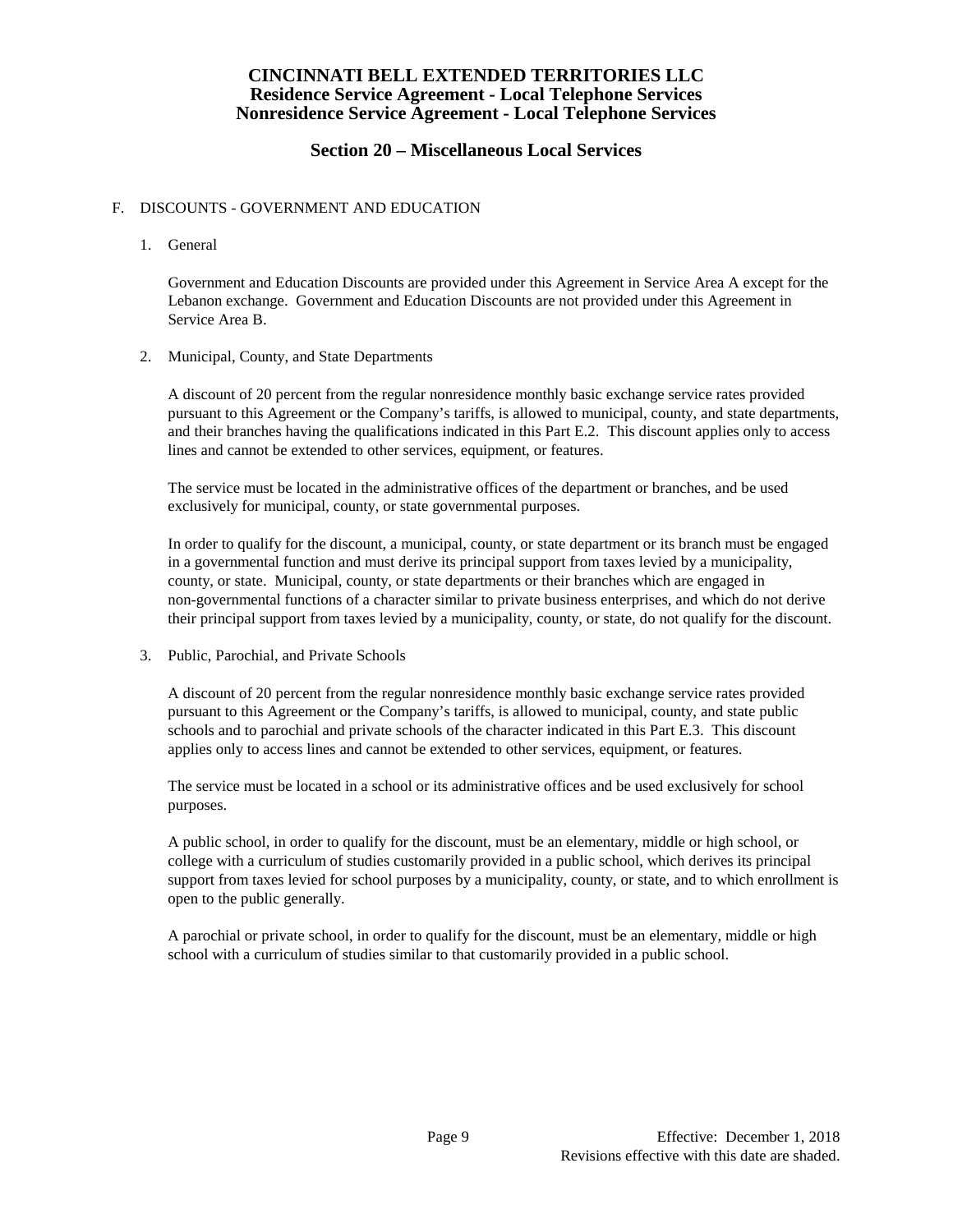## **Section 20 – Miscellaneous Local Services**

### F. DISCOUNTS - GOVERNMENT AND EDUCATION

1. General

Government and Education Discounts are provided under this Agreement in Service Area A except for the Lebanon exchange. Government and Education Discounts are not provided under this Agreement in Service Area B.

2. Municipal, County, and State Departments

A discount of 20 percent from the regular nonresidence monthly basic exchange service rates provided pursuant to this Agreement or the Company's tariffs, is allowed to municipal, county, and state departments, and their branches having the qualifications indicated in this Part E.2. This discount applies only to access lines and cannot be extended to other services, equipment, or features.

The service must be located in the administrative offices of the department or branches, and be used exclusively for municipal, county, or state governmental purposes.

In order to qualify for the discount, a municipal, county, or state department or its branch must be engaged in a governmental function and must derive its principal support from taxes levied by a municipality, county, or state. Municipal, county, or state departments or their branches which are engaged in non-governmental functions of a character similar to private business enterprises, and which do not derive their principal support from taxes levied by a municipality, county, or state, do not qualify for the discount.

3. Public, Parochial, and Private Schools

A discount of 20 percent from the regular nonresidence monthly basic exchange service rates provided pursuant to this Agreement or the Company's tariffs, is allowed to municipal, county, and state public schools and to parochial and private schools of the character indicated in this Part E.3. This discount applies only to access lines and cannot be extended to other services, equipment, or features.

The service must be located in a school or its administrative offices and be used exclusively for school purposes.

A public school, in order to qualify for the discount, must be an elementary, middle or high school, or college with a curriculum of studies customarily provided in a public school, which derives its principal support from taxes levied for school purposes by a municipality, county, or state, and to which enrollment is open to the public generally.

A parochial or private school, in order to qualify for the discount, must be an elementary, middle or high school with a curriculum of studies similar to that customarily provided in a public school.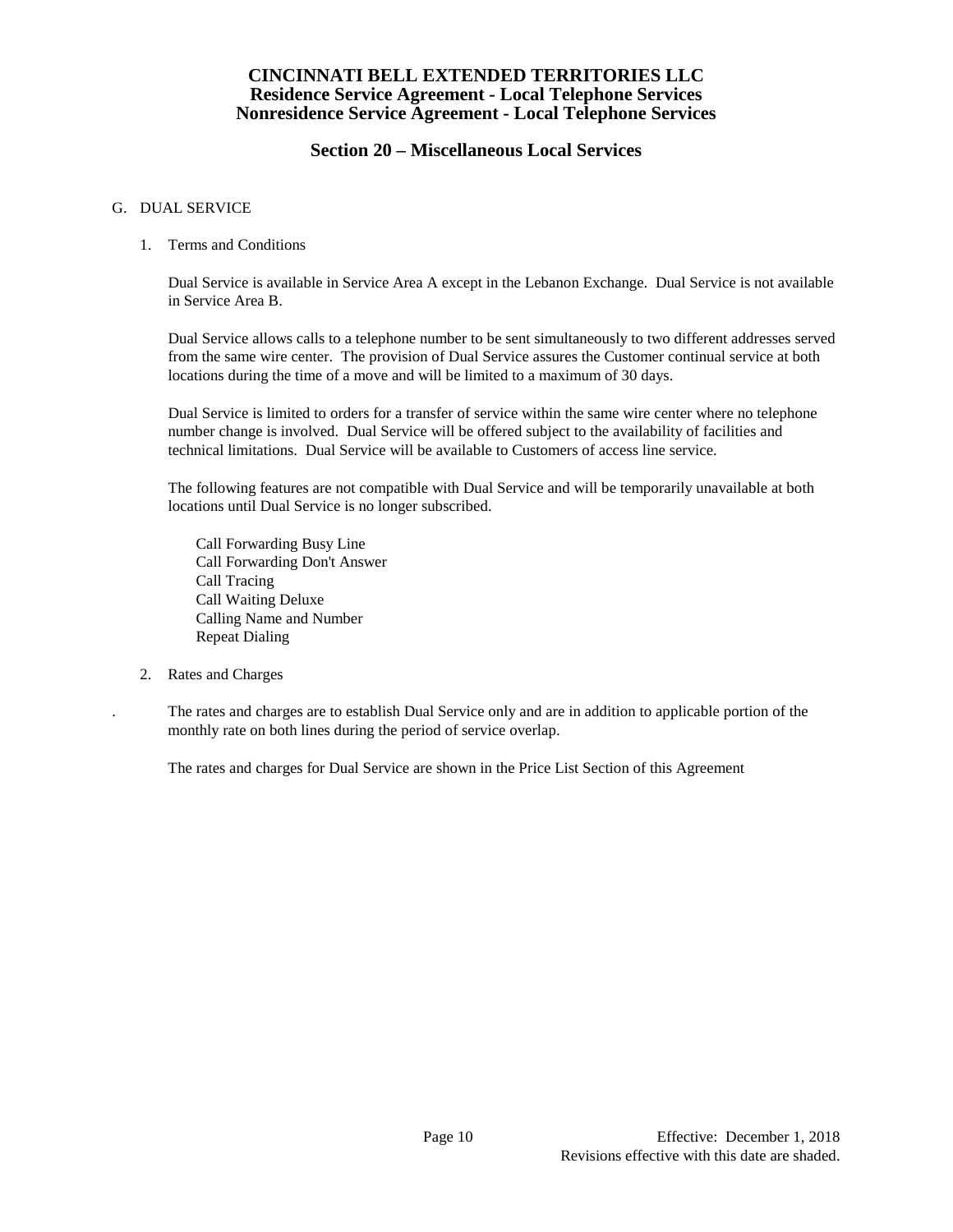## **Section 20 – Miscellaneous Local Services**

### G. DUAL SERVICE

1. Terms and Conditions

Dual Service is available in Service Area A except in the Lebanon Exchange. Dual Service is not available in Service Area B.

Dual Service allows calls to a telephone number to be sent simultaneously to two different addresses served from the same wire center. The provision of Dual Service assures the Customer continual service at both locations during the time of a move and will be limited to a maximum of 30 days.

Dual Service is limited to orders for a transfer of service within the same wire center where no telephone number change is involved. Dual Service will be offered subject to the availability of facilities and technical limitations. Dual Service will be available to Customers of access line service.

The following features are not compatible with Dual Service and will be temporarily unavailable at both locations until Dual Service is no longer subscribed.

Call Forwarding Busy Line Call Forwarding Don't Answer Call Tracing Call Waiting Deluxe Calling Name and Number Repeat Dialing

#### 2. Rates and Charges

. The rates and charges are to establish Dual Service only and are in addition to applicable portion of the monthly rate on both lines during the period of service overlap.

The rates and charges for Dual Service are shown in the Price List Section of this Agreement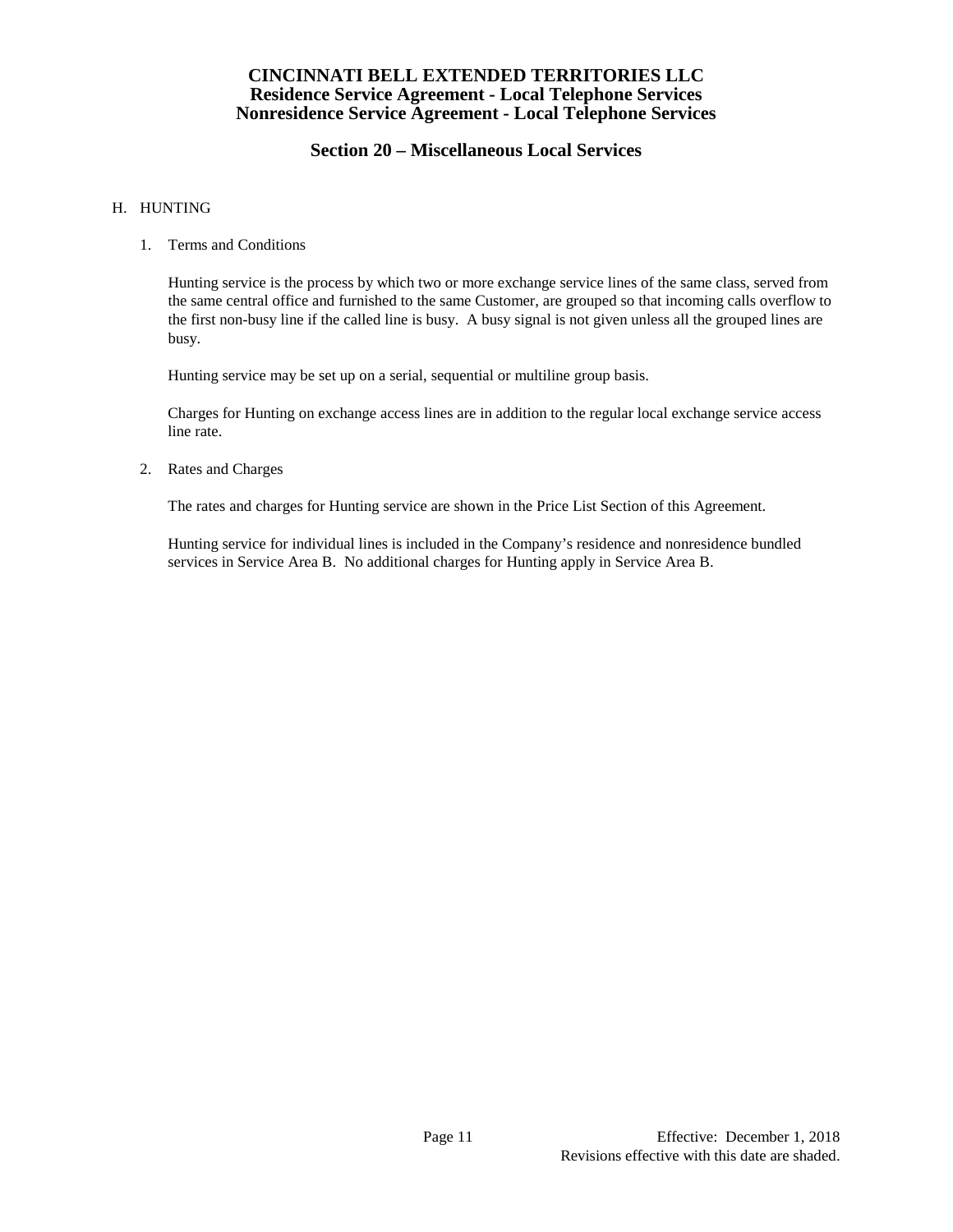## **Section 20 – Miscellaneous Local Services**

### H. HUNTING

1. Terms and Conditions

Hunting service is the process by which two or more exchange service lines of the same class, served from the same central office and furnished to the same Customer, are grouped so that incoming calls overflow to the first non-busy line if the called line is busy. A busy signal is not given unless all the grouped lines are busy.

Hunting service may be set up on a serial, sequential or multiline group basis.

Charges for Hunting on exchange access lines are in addition to the regular local exchange service access line rate.

2. Rates and Charges

The rates and charges for Hunting service are shown in the Price List Section of this Agreement.

Hunting service for individual lines is included in the Company's residence and nonresidence bundled services in Service Area B. No additional charges for Hunting apply in Service Area B.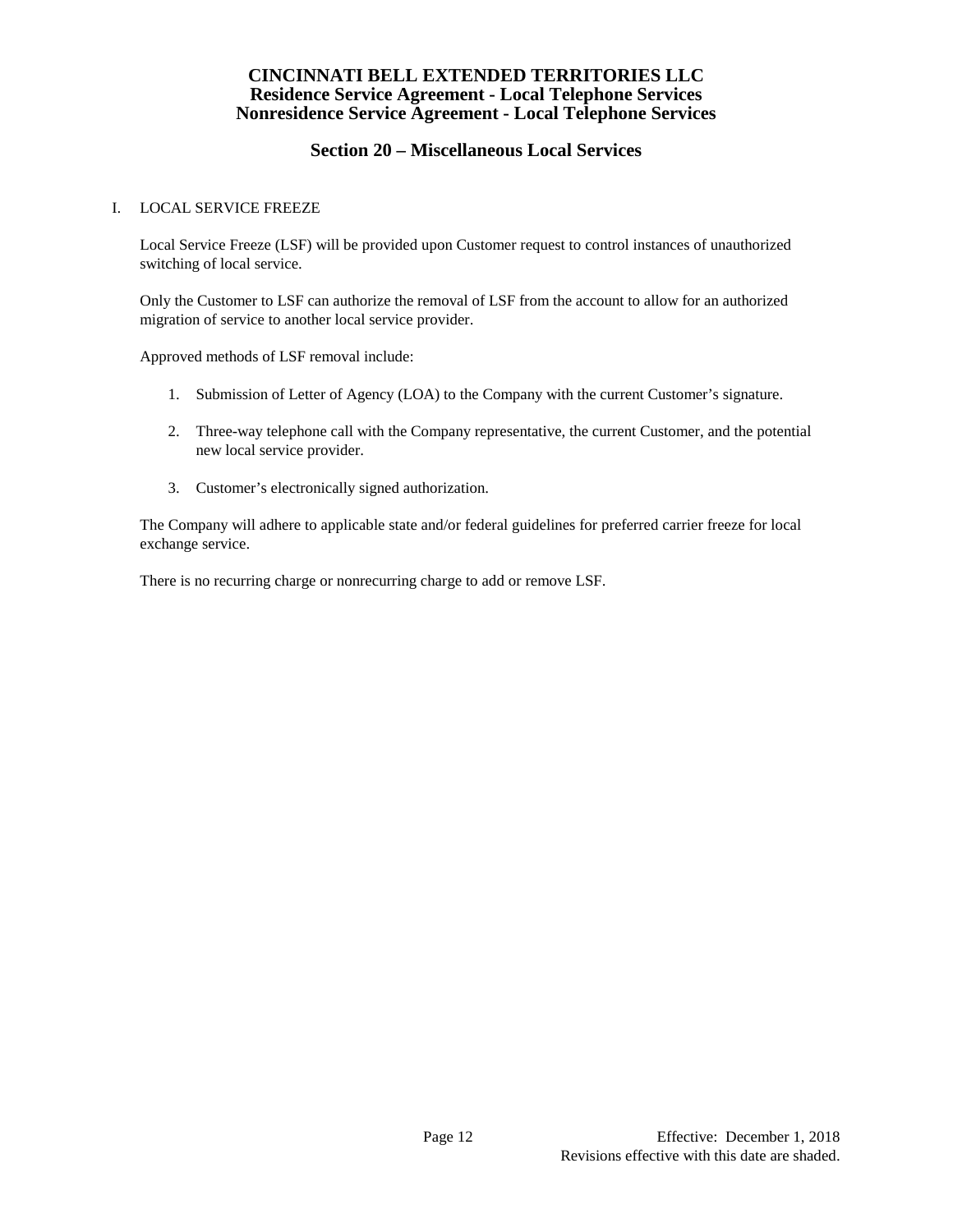## **Section 20 – Miscellaneous Local Services**

#### I. LOCAL SERVICE FREEZE

Local Service Freeze (LSF) will be provided upon Customer request to control instances of unauthorized switching of local service.

Only the Customer to LSF can authorize the removal of LSF from the account to allow for an authorized migration of service to another local service provider.

Approved methods of LSF removal include:

- 1. Submission of Letter of Agency (LOA) to the Company with the current Customer's signature.
- 2. Three-way telephone call with the Company representative, the current Customer, and the potential new local service provider.
- 3. Customer's electronically signed authorization.

The Company will adhere to applicable state and/or federal guidelines for preferred carrier freeze for local exchange service.

There is no recurring charge or nonrecurring charge to add or remove LSF.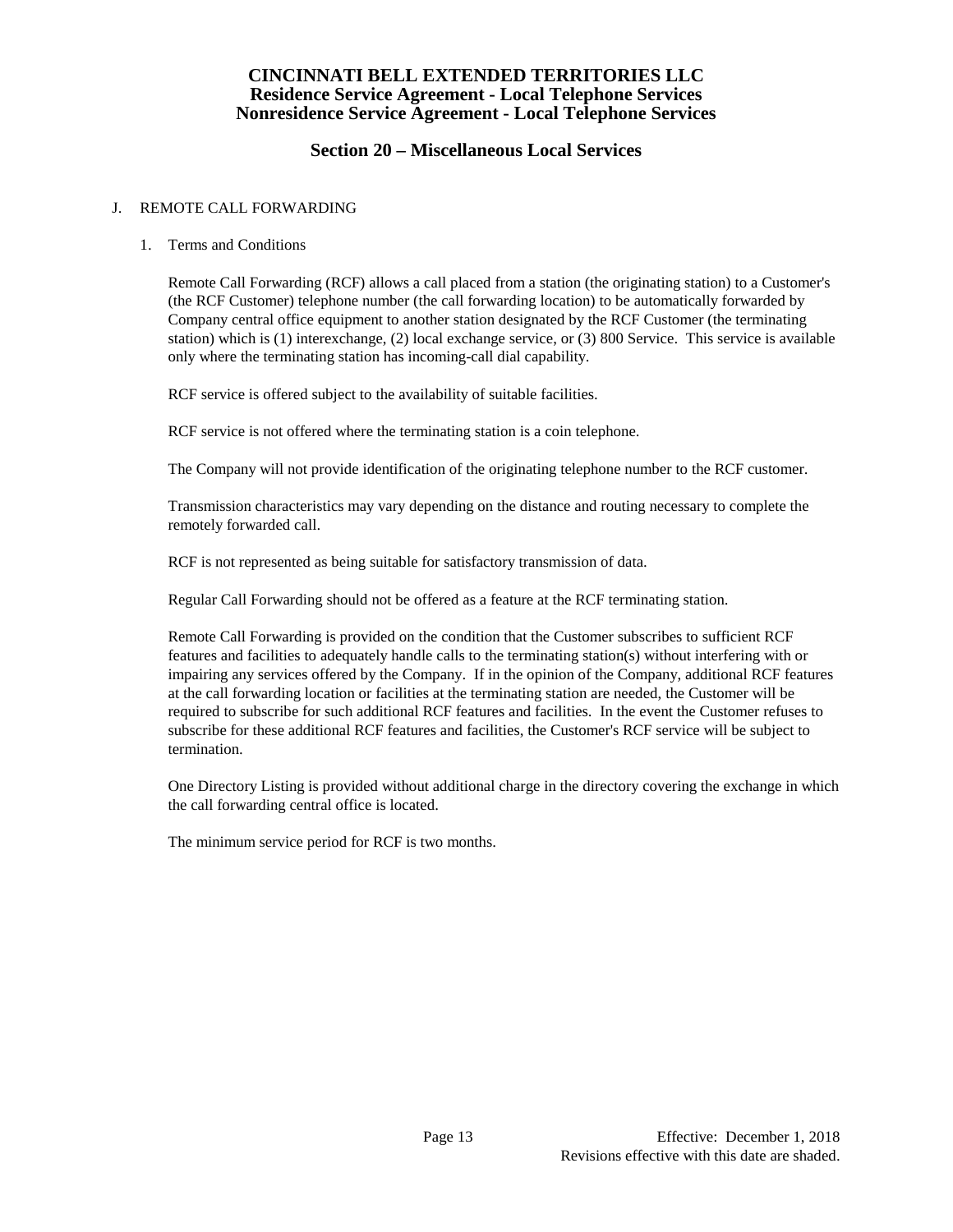## **Section 20 – Miscellaneous Local Services**

#### J. REMOTE CALL FORWARDING

### 1. Terms and Conditions

Remote Call Forwarding (RCF) allows a call placed from a station (the originating station) to a Customer's (the RCF Customer) telephone number (the call forwarding location) to be automatically forwarded by Company central office equipment to another station designated by the RCF Customer (the terminating station) which is (1) interexchange, (2) local exchange service, or (3) 800 Service. This service is available only where the terminating station has incoming-call dial capability.

RCF service is offered subject to the availability of suitable facilities.

RCF service is not offered where the terminating station is a coin telephone.

The Company will not provide identification of the originating telephone number to the RCF customer.

Transmission characteristics may vary depending on the distance and routing necessary to complete the remotely forwarded call.

RCF is not represented as being suitable for satisfactory transmission of data.

Regular Call Forwarding should not be offered as a feature at the RCF terminating station.

Remote Call Forwarding is provided on the condition that the Customer subscribes to sufficient RCF features and facilities to adequately handle calls to the terminating station(s) without interfering with or impairing any services offered by the Company. If in the opinion of the Company, additional RCF features at the call forwarding location or facilities at the terminating station are needed, the Customer will be required to subscribe for such additional RCF features and facilities. In the event the Customer refuses to subscribe for these additional RCF features and facilities, the Customer's RCF service will be subject to termination.

One Directory Listing is provided without additional charge in the directory covering the exchange in which the call forwarding central office is located.

The minimum service period for RCF is two months.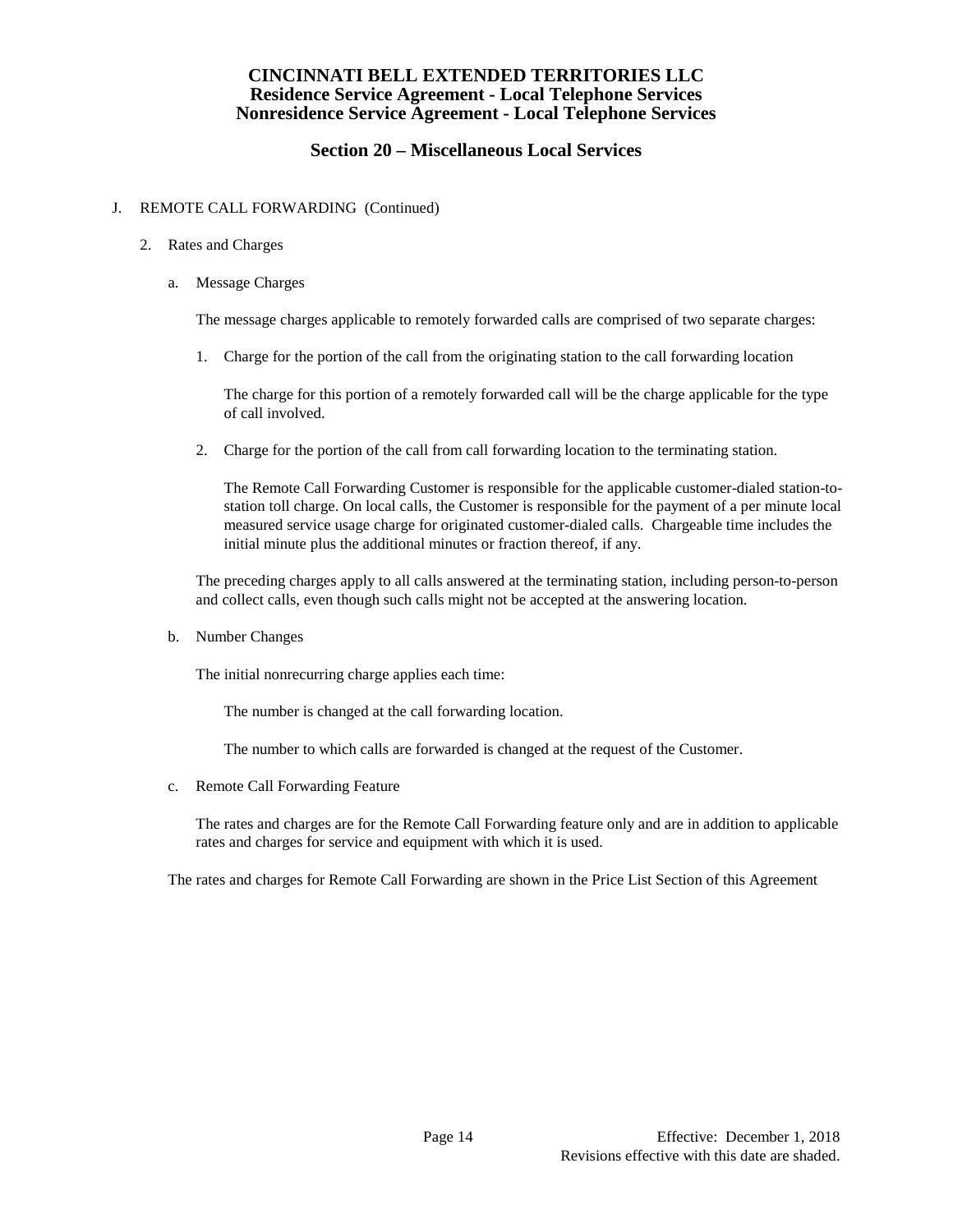## **Section 20 – Miscellaneous Local Services**

### J. REMOTE CALL FORWARDING (Continued)

- 2. Rates and Charges
	- a. Message Charges

The message charges applicable to remotely forwarded calls are comprised of two separate charges:

1. Charge for the portion of the call from the originating station to the call forwarding location

The charge for this portion of a remotely forwarded call will be the charge applicable for the type of call involved.

2. Charge for the portion of the call from call forwarding location to the terminating station.

The Remote Call Forwarding Customer is responsible for the applicable customer-dialed station-tostation toll charge. On local calls, the Customer is responsible for the payment of a per minute local measured service usage charge for originated customer-dialed calls. Chargeable time includes the initial minute plus the additional minutes or fraction thereof, if any.

The preceding charges apply to all calls answered at the terminating station, including person-to-person and collect calls, even though such calls might not be accepted at the answering location.

b. Number Changes

The initial nonrecurring charge applies each time:

The number is changed at the call forwarding location.

The number to which calls are forwarded is changed at the request of the Customer.

c. Remote Call Forwarding Feature

The rates and charges are for the Remote Call Forwarding feature only and are in addition to applicable rates and charges for service and equipment with which it is used.

The rates and charges for Remote Call Forwarding are shown in the Price List Section of this Agreement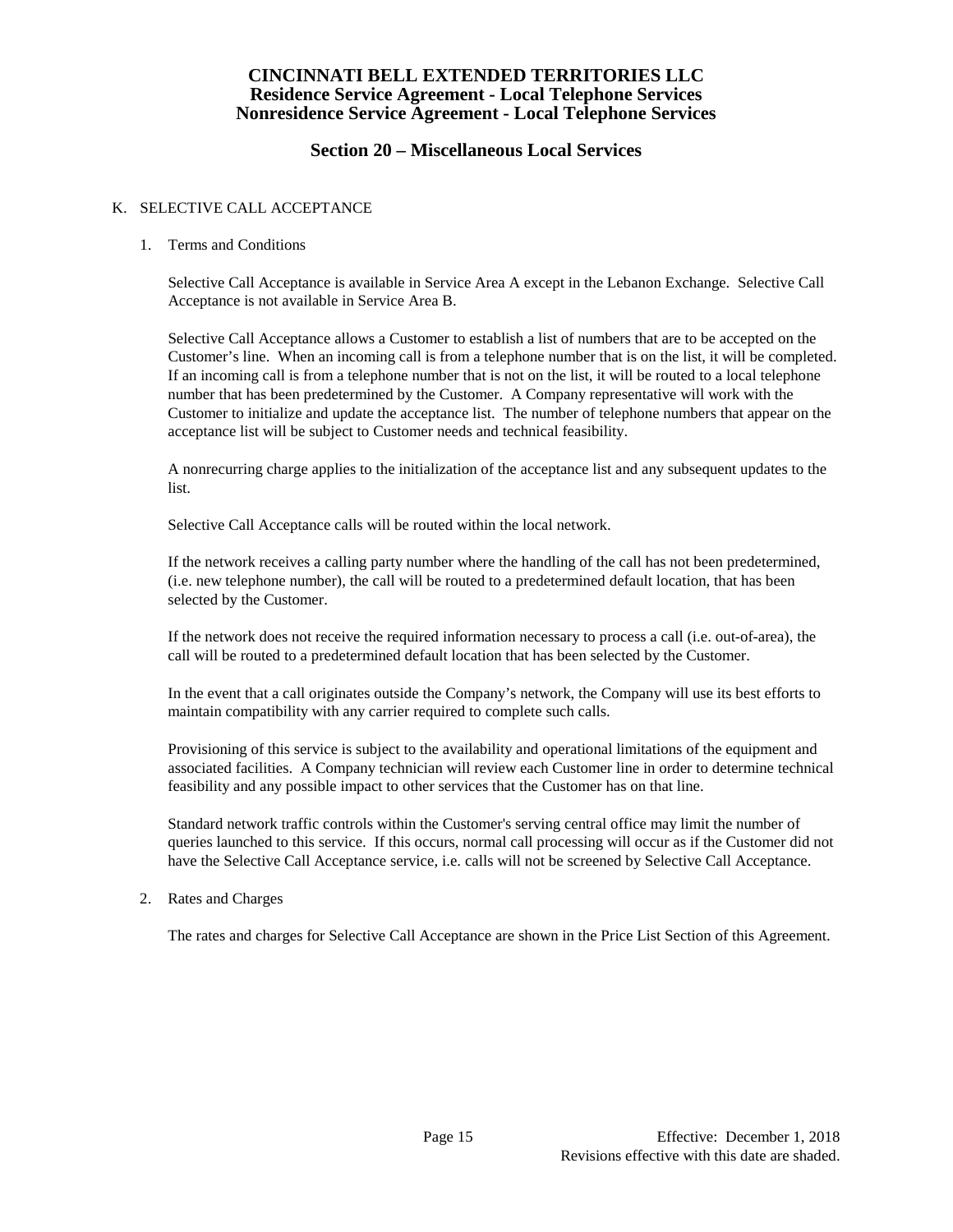## **Section 20 – Miscellaneous Local Services**

### K. SELECTIVE CALL ACCEPTANCE

#### 1. Terms and Conditions

Selective Call Acceptance is available in Service Area A except in the Lebanon Exchange. Selective Call Acceptance is not available in Service Area B.

Selective Call Acceptance allows a Customer to establish a list of numbers that are to be accepted on the Customer's line. When an incoming call is from a telephone number that is on the list, it will be completed. If an incoming call is from a telephone number that is not on the list, it will be routed to a local telephone number that has been predetermined by the Customer. A Company representative will work with the Customer to initialize and update the acceptance list. The number of telephone numbers that appear on the acceptance list will be subject to Customer needs and technical feasibility.

A nonrecurring charge applies to the initialization of the acceptance list and any subsequent updates to the list.

Selective Call Acceptance calls will be routed within the local network.

If the network receives a calling party number where the handling of the call has not been predetermined, (i.e. new telephone number), the call will be routed to a predetermined default location, that has been selected by the Customer.

If the network does not receive the required information necessary to process a call (i.e. out-of-area), the call will be routed to a predetermined default location that has been selected by the Customer.

In the event that a call originates outside the Company's network, the Company will use its best efforts to maintain compatibility with any carrier required to complete such calls.

Provisioning of this service is subject to the availability and operational limitations of the equipment and associated facilities. A Company technician will review each Customer line in order to determine technical feasibility and any possible impact to other services that the Customer has on that line.

Standard network traffic controls within the Customer's serving central office may limit the number of queries launched to this service. If this occurs, normal call processing will occur as if the Customer did not have the Selective Call Acceptance service, i.e. calls will not be screened by Selective Call Acceptance.

### 2. Rates and Charges

The rates and charges for Selective Call Acceptance are shown in the Price List Section of this Agreement.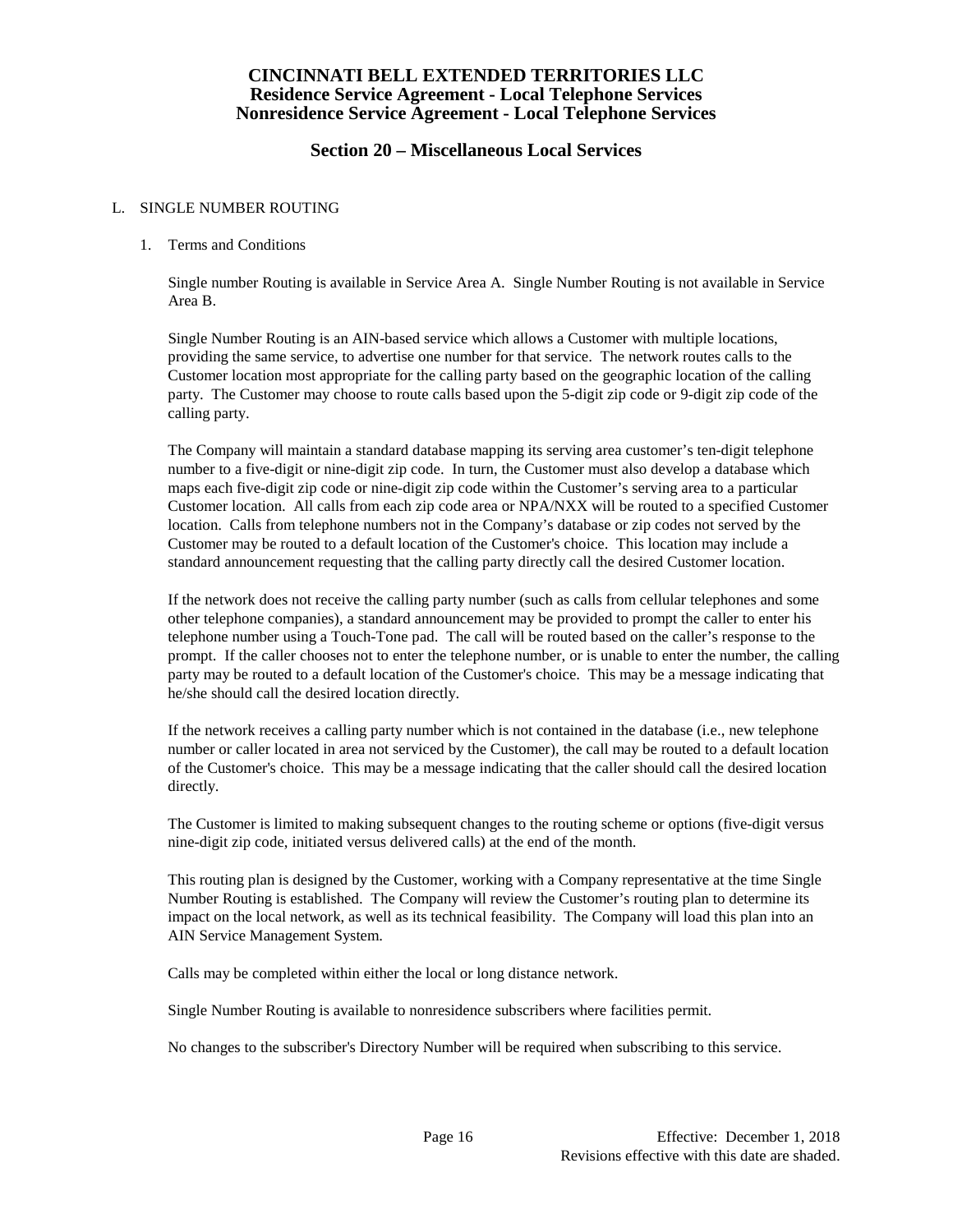## **Section 20 – Miscellaneous Local Services**

#### L. SINGLE NUMBER ROUTING

#### 1. Terms and Conditions

Single number Routing is available in Service Area A. Single Number Routing is not available in Service Area B.

Single Number Routing is an AIN-based service which allows a Customer with multiple locations, providing the same service, to advertise one number for that service. The network routes calls to the Customer location most appropriate for the calling party based on the geographic location of the calling party. The Customer may choose to route calls based upon the 5-digit zip code or 9-digit zip code of the calling party.

The Company will maintain a standard database mapping its serving area customer's ten-digit telephone number to a five-digit or nine-digit zip code. In turn, the Customer must also develop a database which maps each five-digit zip code or nine-digit zip code within the Customer's serving area to a particular Customer location. All calls from each zip code area or NPA/NXX will be routed to a specified Customer location. Calls from telephone numbers not in the Company's database or zip codes not served by the Customer may be routed to a default location of the Customer's choice. This location may include a standard announcement requesting that the calling party directly call the desired Customer location.

If the network does not receive the calling party number (such as calls from cellular telephones and some other telephone companies), a standard announcement may be provided to prompt the caller to enter his telephone number using a Touch-Tone pad. The call will be routed based on the caller's response to the prompt. If the caller chooses not to enter the telephone number, or is unable to enter the number, the calling party may be routed to a default location of the Customer's choice. This may be a message indicating that he/she should call the desired location directly.

If the network receives a calling party number which is not contained in the database (i.e., new telephone number or caller located in area not serviced by the Customer), the call may be routed to a default location of the Customer's choice. This may be a message indicating that the caller should call the desired location directly.

The Customer is limited to making subsequent changes to the routing scheme or options (five-digit versus nine-digit zip code, initiated versus delivered calls) at the end of the month.

This routing plan is designed by the Customer, working with a Company representative at the time Single Number Routing is established. The Company will review the Customer's routing plan to determine its impact on the local network, as well as its technical feasibility. The Company will load this plan into an AIN Service Management System.

Calls may be completed within either the local or long distance network.

Single Number Routing is available to nonresidence subscribers where facilities permit.

No changes to the subscriber's Directory Number will be required when subscribing to this service.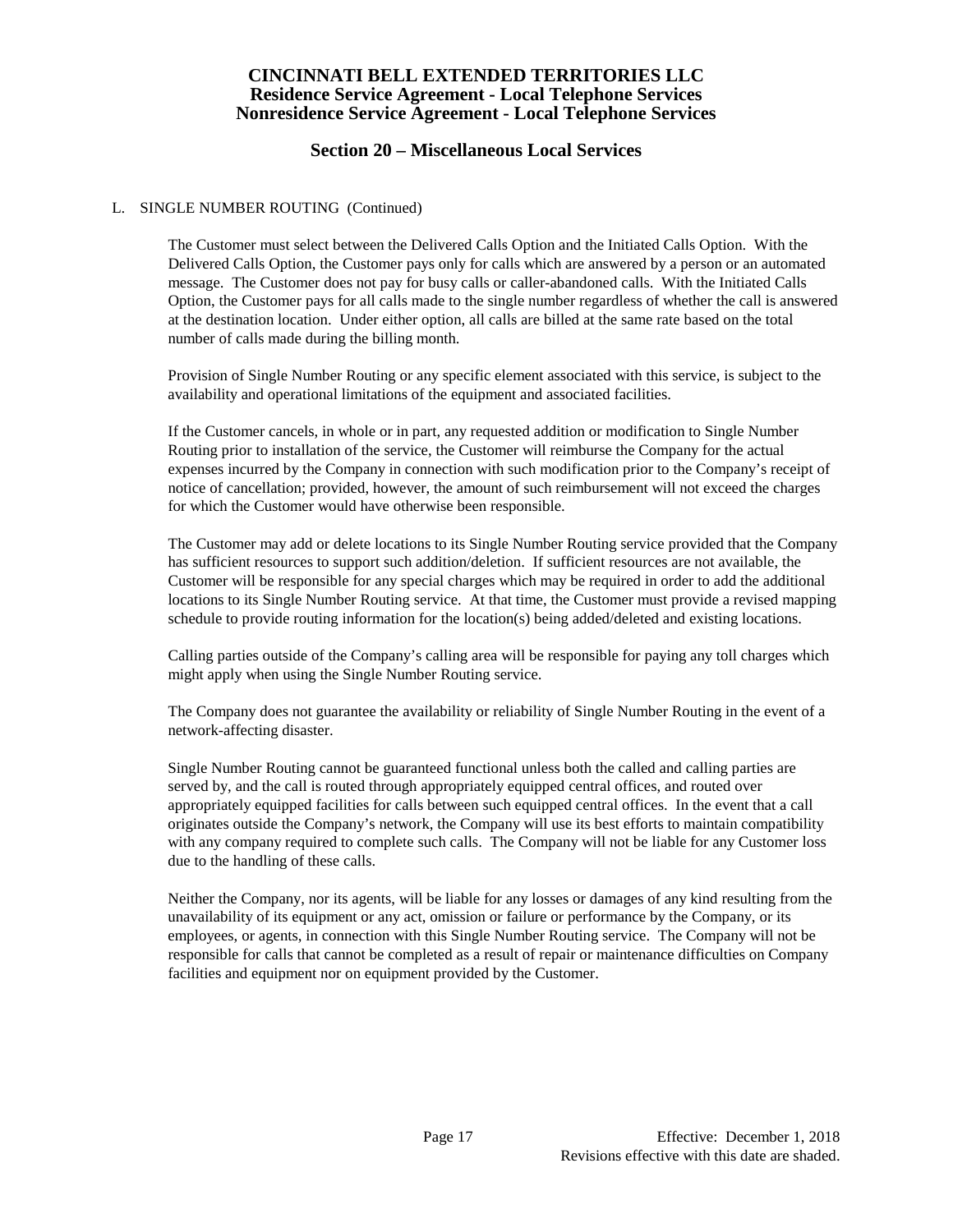## **Section 20 – Miscellaneous Local Services**

#### L. SINGLE NUMBER ROUTING (Continued)

The Customer must select between the Delivered Calls Option and the Initiated Calls Option. With the Delivered Calls Option, the Customer pays only for calls which are answered by a person or an automated message. The Customer does not pay for busy calls or caller-abandoned calls. With the Initiated Calls Option, the Customer pays for all calls made to the single number regardless of whether the call is answered at the destination location. Under either option, all calls are billed at the same rate based on the total number of calls made during the billing month.

Provision of Single Number Routing or any specific element associated with this service, is subject to the availability and operational limitations of the equipment and associated facilities.

If the Customer cancels, in whole or in part, any requested addition or modification to Single Number Routing prior to installation of the service, the Customer will reimburse the Company for the actual expenses incurred by the Company in connection with such modification prior to the Company's receipt of notice of cancellation; provided, however, the amount of such reimbursement will not exceed the charges for which the Customer would have otherwise been responsible.

The Customer may add or delete locations to its Single Number Routing service provided that the Company has sufficient resources to support such addition/deletion. If sufficient resources are not available, the Customer will be responsible for any special charges which may be required in order to add the additional locations to its Single Number Routing service. At that time, the Customer must provide a revised mapping schedule to provide routing information for the location(s) being added/deleted and existing locations.

Calling parties outside of the Company's calling area will be responsible for paying any toll charges which might apply when using the Single Number Routing service.

The Company does not guarantee the availability or reliability of Single Number Routing in the event of a network-affecting disaster.

Single Number Routing cannot be guaranteed functional unless both the called and calling parties are served by, and the call is routed through appropriately equipped central offices, and routed over appropriately equipped facilities for calls between such equipped central offices. In the event that a call originates outside the Company's network, the Company will use its best efforts to maintain compatibility with any company required to complete such calls. The Company will not be liable for any Customer loss due to the handling of these calls.

Neither the Company, nor its agents, will be liable for any losses or damages of any kind resulting from the unavailability of its equipment or any act, omission or failure or performance by the Company, or its employees, or agents, in connection with this Single Number Routing service. The Company will not be responsible for calls that cannot be completed as a result of repair or maintenance difficulties on Company facilities and equipment nor on equipment provided by the Customer.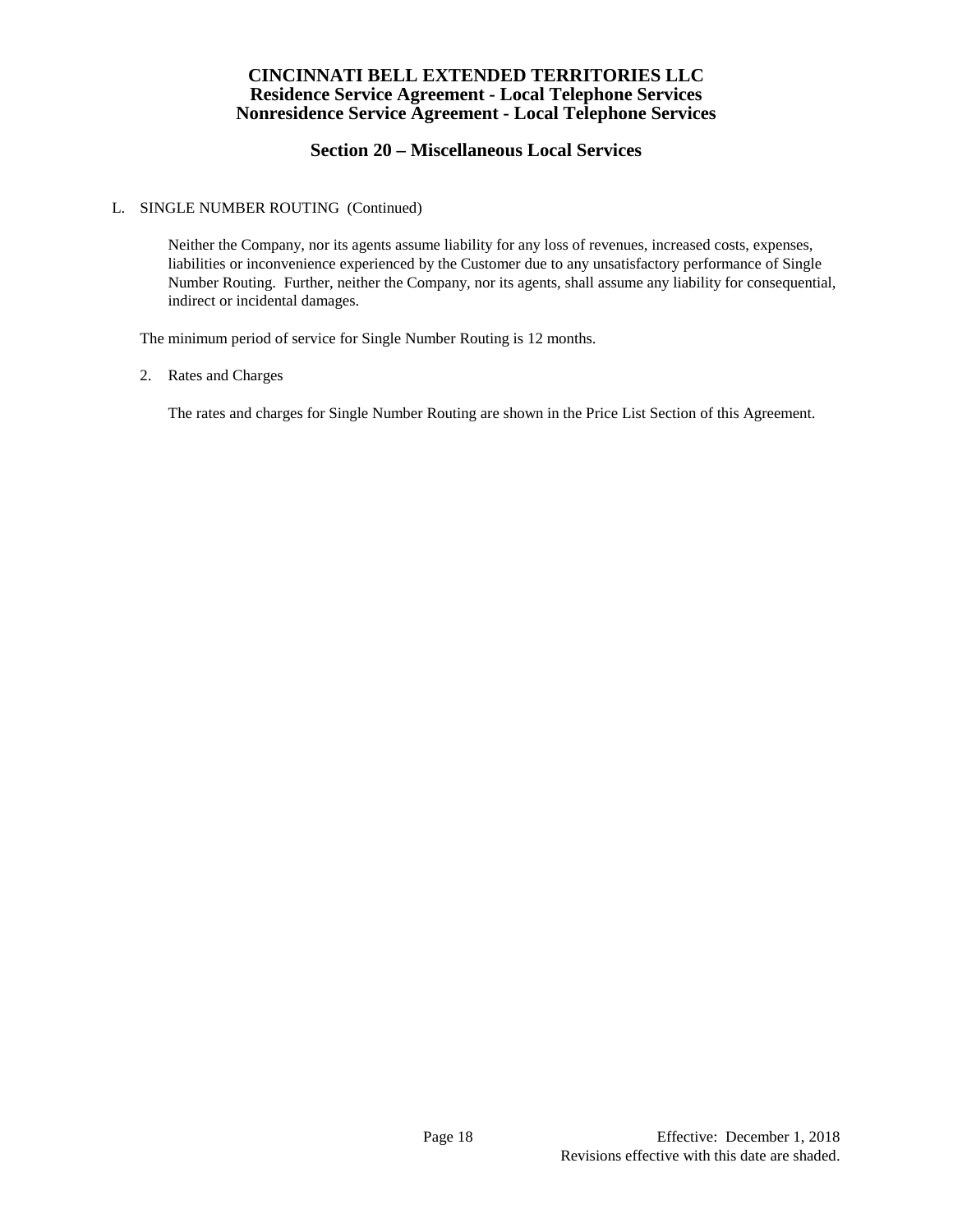# **Section 20 – Miscellaneous Local Services**

### L. SINGLE NUMBER ROUTING (Continued)

Neither the Company, nor its agents assume liability for any loss of revenues, increased costs, expenses, liabilities or inconvenience experienced by the Customer due to any unsatisfactory performance of Single Number Routing. Further, neither the Company, nor its agents, shall assume any liability for consequential, indirect or incidental damages.

The minimum period of service for Single Number Routing is 12 months.

2. Rates and Charges

The rates and charges for Single Number Routing are shown in the Price List Section of this Agreement.